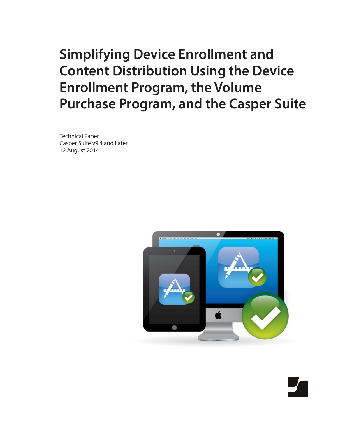# **Simplifying Device Enrollment and Content Distribution Using the Device Enrollment Program, the Volume Purchase Program, and the Casper Suite**

Technical Paper Casper Suite v9.4 and Later 12 August 2014

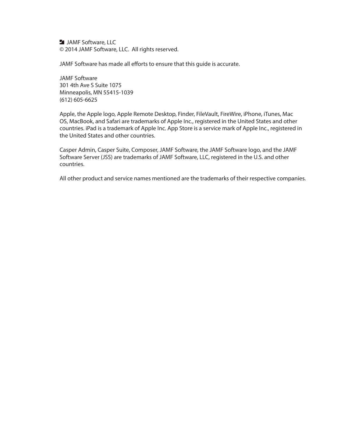**JAMF Software, LLC** © 2014 JAMF Software, LLC. All rights reserved.

JAMF Software has made all efforts to ensure that this guide is accurate.

JAMF Software 301 4th Ave S Suite 1075 Minneapolis, MN 55415-1039 (612) 605-6625

Apple, the Apple logo, Apple Remote Desktop, Finder, FileVault, FireWire, iPhone, iTunes, Mac OS, MacBook, and Safari are trademarks of Apple Inc., registered in the United States and other countries. iPad is a trademark of Apple Inc. App Store is a service mark of Apple Inc., registered in the United States and other countries.

Casper Admin, Casper Suite, Composer, JAMF Software, the JAMF Software logo, and the JAMF Software Server (JSS) are trademarks of JAMF Software, LLC, registered in the U.S. and other countries.

All other product and service names mentioned are the trademarks of their respective companies.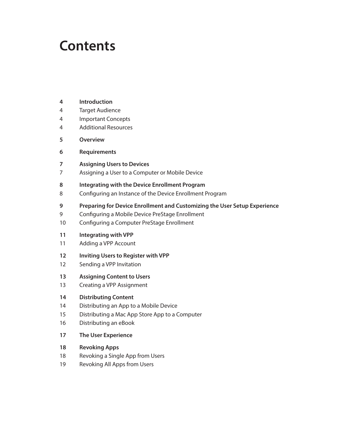## **Contents**

- **[Introduction](#page-3-0)**
- [Target Audience](#page-3-0)
- [Important Concepts](#page-3-0)
- [Additional Resources](#page-3-0)
- **[Overview](#page-4-0)**
- **[Requirements](#page-5-0)**
- **[Assigning Users to Devices](#page-6-0)**
- [Assigning a User to a Computer or Mobile Device](#page-6-0)
- **[Integrating with the Device Enrollment Program](#page-7-0)**
- [Configuring an Instance of the Device Enrollment Program](#page-7-0)
- **[Preparing for Device Enrollment and Customizing the User Setup Experience](#page-8-0)**
- [Configuring a Mobile Device PreStage Enrollment](#page-8-0)
- [Configuring a Computer PreStage Enrollment](#page-9-0)

#### **[Integrating with VPP](#page-10-0)**

- [Adding a VPP Account](#page-10-0)
- **[Inviting Users to Register with VPP](#page-11-0)**
- [Sending a VPP Invitation](#page-11-0)
- **[Assigning Content to Users](#page-12-0)**
- [Creating a VPP Assignment](#page-12-0)

#### **[Distributing Content](#page-13-0)**

- [Distributing an App to a Mobile Device](#page-13-0)
- [Distributing a Mac App Store App to a Computer](#page-14-0)
- [Distributing an eBook](#page-15-0)
- **[The User Experience](#page-16-0)**
- **[Revoking Apps](#page-17-0)**
- [Revoking a Single App from Users](#page-17-0)
- [Revoking All Apps from Users](#page-18-0)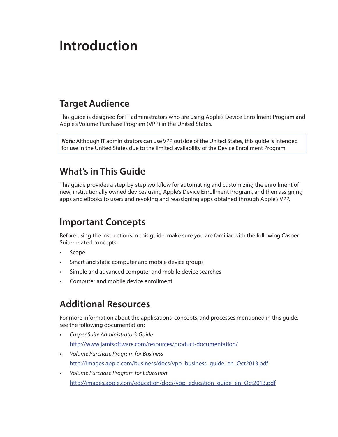# <span id="page-3-0"></span>**Introduction**

### **Target Audience**

This guide is designed for IT administrators who are using Apple's Device Enrollment Program and Apple's Volume Purchase Program (VPP) in the United States.

*Note:* Although IT administrators can use VPP outside of the United States, this guide is intended for use in the United States due to the limited availability of the Device Enrollment Program.

### **What's in This Guide**

This guide provides a step-by-step workflow for automating and customizing the enrollment of new, institutionally owned devices using Apple's Device Enrollment Program, and then assigning apps and eBooks to users and revoking and reassigning apps obtained through Apple's VPP.

### **Important Concepts**

Before using the instructions in this guide, make sure you are familiar with the following Casper Suite-related concepts:

- • Scope
- • Smart and static computer and mobile device groups
- • Simple and advanced computer and mobile device searches
- Computer and mobile device enrollment

### **Additional Resources**

For more information about the applications, concepts, and processes mentioned in this guide, see the following documentation:

- • *Casper Suite Administrator's Guide* <http://www.jamfsoftware.com/resources/product-documentation/>
- • *Volume Purchase Program for Business* [http://images.apple.com/business/docs/vpp\\_business\\_guide\\_en\\_Oct2013.pdf](http://images.apple.com/business/docs/vpp_business_guide_en_Oct2013.pdf)
- • *Volume Purchase Program for Education* http://images.apple.com/education/docs/vpp\_education\_quide\_en\_Oct2013.pdf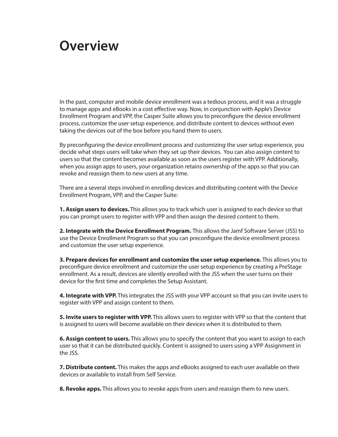### <span id="page-4-0"></span>**Overview**

In the past, computer and mobile device enrollment was a tedious process, and it was a struggle to manage apps and eBooks in a cost effective way. Now, in conjunction with Apple's Device Enrollment Program and VPP, the Casper Suite allows you to preconfigure the device enrollment process, customize the user setup experience, and distribute content to devices without even taking the devices out of the box before you hand them to users.

By preconfiguring the device enrollment process and customizing the user setup experience, you decide what steps users will take when they set up their devices. You can also assign content to users so that the content becomes available as soon as the users register with VPP. Additionally, when you assign apps to users, your organization retains ownership of the apps so that you can revoke and reassign them to new users at any time.

There are a several steps involved in enrolling devices and distributing content with the Device Enrollment Program, VPP, and the Casper Suite:

**1. Assign users to devices.** This allows you to track which user is assigned to each device so that you can prompt users to register with VPP and then assign the desired content to them.

**2. Integrate with the Device Enrollment Program.** This allows the Jamf Software Server (JSS) to use the Device Enrollment Program so that you can preconfigure the device enrollment process and customize the user setup experience.

**3. Prepare devices for enrollment and customize the user setup experience.** This allows you to preconfigure device enrollment and customize the user setup experience by creating a PreStage enrollment. As a result, devices are silently enrolled with the JSS when the user turns on their device for the first time and completes the Setup Assistant.

**4. Integrate with VPP.** This integrates the JSS with your VPP account so that you can invite users to register with VPP and assign content to them.

**5. Invite users to register with VPP.** This allows users to register with VPP so that the content that is assigned to users will become available on their devices when it is distributed to them.

**6. Assign content to users.** This allows you to specify the content that you want to assign to each user so that it can be distributed quickly. Content is assigned to users using a VPP Assignment in the JSS.

**7. Distribute content.** This makes the apps and eBooks assigned to each user available on their devices or available to install from Self Service.

**8. Revoke apps.** This allows you to revoke apps from users and reassign them to new users.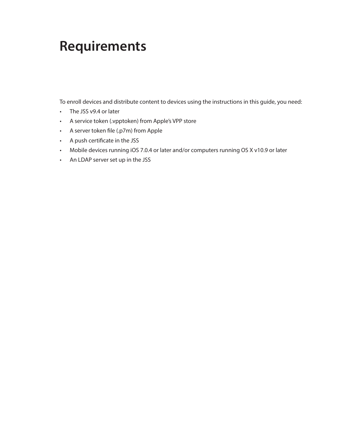# <span id="page-5-0"></span>**Requirements**

To enroll devices and distribute content to devices using the instructions in this guide, you need:

- • The JSS v9.4 or later
- • A service token (.vpptoken) from Apple's VPP store
- • A server token file (.p7m) from Apple
- • A push certificate in the JSS
- Mobile devices running iOS 7.0.4 or later and/or computers running OS X v10.9 or later
- • An LDAP server set up in the JSS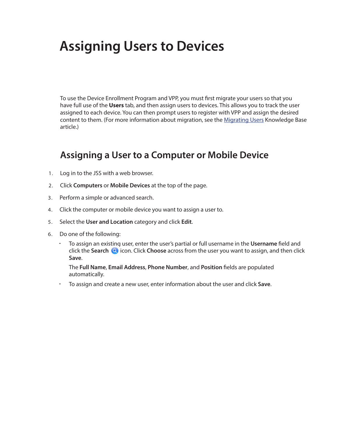# <span id="page-6-0"></span>**Assigning Users to Devices**

To use the Device Enrollment Program and VPP, you must first migrate your users so that you have full use of the **Users** tab, and then assign users to devices. This allows you to track the user assigned to each device. You can then prompt users to register with VPP and assign the desired content to them. (For more information about migration, see the [Migrating Users](https://jamfnation.jamfsoftware.com/article.html?id=362) Knowledge Base article.)

### **Assigning a User to a Computer or Mobile Device**

- 1. Log in to the JSS with a web browser.
- 2. Click **Computers** or **Mobile Devices** at the top of the page.
- 3. Perform a simple or advanced search.
- 4. Click the computer or mobile device you want to assign a user to.
- 5. Select the **User and Location** category and click **Edit**.
- 6. Do one of the following:
	- To assign an existing user, enter the user's partial or full username in the **Username** field and click the **Search <b>Q** icon. Click **Choose** across from the user you want to assign, and then click **Save**.

The **Full Name**, **Email Address**, **Phone Number**, and **Position** fields are populated automatically.

To assign and create a new user, enter information about the user and click **Save**.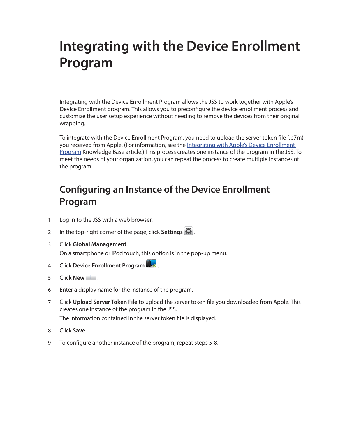# <span id="page-7-0"></span>**Integrating with the Device Enrollment Program**

Integrating with the Device Enrollment Program allows the JSS to work together with Apple's Device Enrollment program. This allows you to preconfigure the device enrollment process and customize the user setup experience without needing to remove the devices from their original wrapping.

To integrate with the Device Enrollment Program, you need to upload the server token file (.p7m) you received from Apple. (For information, see the [Integrating with Apple's Device Enrollment](https://jamfnation.jamfsoftware.com/article.html?id=359)  [Program](https://jamfnation.jamfsoftware.com/article.html?id=359) Knowledge Base article.) This process creates one instance of the program in the JSS. To meet the needs of your organization, you can repeat the process to create multiple instances of the program.

### **Configuring an Instance of the Device Enrollment Program**

- 1. Log in to the JSS with a web browser.
- 2. In the top-right corner of the page, click **Settings**  $\mathbf{X}$ .
- 3. Click **Global Management**. On a smartphone or iPod touch, this option is in the pop-up menu.
- 4. Click **Device Enrollment Program** .
- 5. Click **New** .
- 6. Enter a display name for the instance of the program.
- 7. Click **Upload Server Token File** to upload the server token file you downloaded from Apple. This creates one instance of the program in the JSS. The information contained in the server token file is displayed.
- 8. Click **Save**.
- 9. To configure another instance of the program, repeat steps 5-8.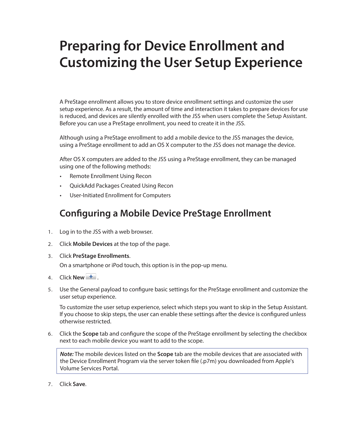# <span id="page-8-0"></span>**Preparing for Device Enrollment and Customizing the User Setup Experience**

A PreStage enrollment allows you to store device enrollment settings and customize the user setup experience. As a result, the amount of time and interaction it takes to prepare devices for use is reduced, and devices are silently enrolled with the JSS when users complete the Setup Assistant. Before you can use a PreStage enrollment, you need to create it in the JSS.

Although using a PreStage enrollment to add a mobile device to the JSS manages the device, using a PreStage enrollment to add an OS X computer to the JSS does not manage the device.

After OS X computers are added to the JSS using a PreStage enrollment, they can be managed using one of the following methods:

- • Remote Enrollment Using Recon
- • QuickAdd Packages Created Using Recon
- • User-Initiated Enrollment for Computers

### **Configuring a Mobile Device PreStage Enrollment**

- 1. Log in to the JSS with a web browser.
- 2. Click **Mobile Devices** at the top of the page.
- 3. Click **PreStage Enrollments**.

On a smartphone or iPod touch, this option is in the pop-up menu.

- 4. Click **New** .
- 5. Use the General payload to configure basic settings for the PreStage enrollment and customize the user setup experience.

To customize the user setup experience, select which steps you want to skip in the Setup Assistant. If you choose to skip steps, the user can enable these settings after the device is configured unless otherwise restricted.

6. Click the **Scope** tab and configure the scope of the PreStage enrollment by selecting the checkbox next to each mobile device you want to add to the scope.

*Note:* The mobile devices listed on the **Scope** tab are the mobile devices that are associated with the Device Enrollment Program via the server token file (.p7m) you downloaded from Apple's Volume Services Portal.

7. Click **Save**.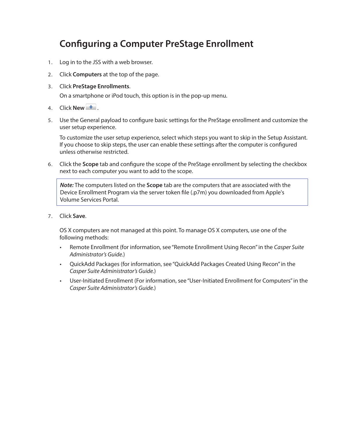### <span id="page-9-0"></span>**Configuring a Computer PreStage Enrollment**

- 1. Log in to the JSS with a web browser.
- 2. Click **Computers** at the top of the page.
- 3. Click **PreStage Enrollments**.

On a smartphone or iPod touch, this option is in the pop-up menu.

- 4. Click **New** .
- 5. Use the General payload to configure basic settings for the PreStage enrollment and customize the user setup experience.

To customize the user setup experience, select which steps you want to skip in the Setup Assistant. If you choose to skip steps, the user can enable these settings after the computer is configured unless otherwise restricted.

6. Click the **Scope** tab and configure the scope of the PreStage enrollment by selecting the checkbox next to each computer you want to add to the scope.

*Note:* The computers listed on the **Scope** tab are the computers that are associated with the Device Enrollment Program via the server token file (.p7m) you downloaded from Apple's Volume Services Portal.

7. Click **Save**.

OS X computers are not managed at this point. To manage OS X computers, use one of the following methods:

- • Remote Enrollment (for information, see "Remote Enrollment Using Recon" in the *Casper Suite Administrator's Guide.*)
- • QuickAdd Packages (for information, see "QuickAdd Packages Created Using Recon" in the *Casper Suite Administrator's Guide.*)
- • User-Initiated Enrollment (For information, see "User-Initiated Enrollment for Computers" in the *Casper Suite Administrator's Guide.*)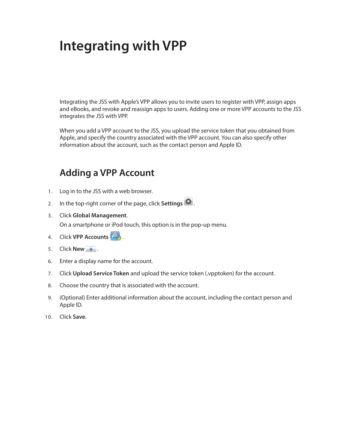# <span id="page-10-0"></span>**Integrating with VPP**

Integrating the JSS with Apple's VPP allows you to invite users to register with VPP, assign apps and eBooks, and revoke and reassign apps to users. Adding one or more VPP accounts to the JSS integrates the JSS with VPP.

When you add a VPP account to the JSS, you upload the service token that you obtained from Apple, and specify the country associated with the VPP account. You can also specify other information about the account, such as the contact person and Apple ID.

### **Adding a VPP Account**

- 1. Log in to the JSS with a web browser.
- 2. In the top-right corner of the page, click **Settings** .
- 3. Click **Global Management**.

On a smartphone or iPod touch, this option is in the pop-up menu.

- 4. Click **VPP Accounts**  $\overrightarrow{A}$ .
- 5. Click **New** .
- 6. Enter a display name for the account.
- 7. Click **Upload Service Token** and upload the service token (.vpptoken) for the account.
- 8. Choose the country that is associated with the account.
- 9. (Optional) Enter additional information about the account, including the contact person and Apple ID.
- 10. Click **Save**.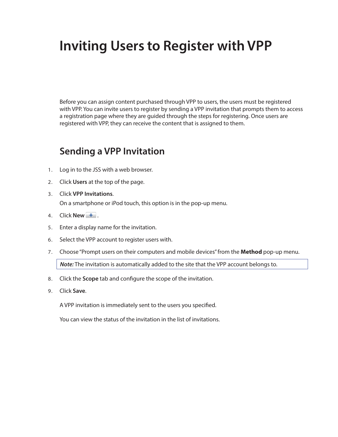# <span id="page-11-0"></span>**Inviting Users to Register with VPP**

Before you can assign content purchased through VPP to users, the users must be registered with VPP. You can invite users to register by sending a VPP invitation that prompts them to access a registration page where they are guided through the steps for registering. Once users are registered with VPP, they can receive the content that is assigned to them.

### **Sending a VPP Invitation**

- 1. Log in to the JSS with a web browser.
- 2. Click **Users** at the top of the page.
- 3. Click **VPP Invitations**. On a smartphone or iPod touch, this option is in the pop-up menu.
- 4. Click **New**  $\begin{array}{|c|c|c|} \hline \textbf{+} & \textbf{.} \hline \end{array}$
- 5. Enter a display name for the invitation.
- 6. Select the VPP account to register users with.
- 7. Choose "Prompt users on their computers and mobile devices" from the **Method** pop-up menu.

*Note:* The invitation is automatically added to the site that the VPP account belongs to.

- 8. Click the **Scope** tab and configure the scope of the invitation.
- 9. Click **Save**.

A VPP invitation is immediately sent to the users you specified.

You can view the status of the invitation in the list of invitations.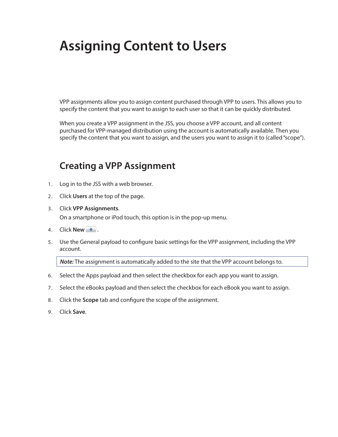# <span id="page-12-0"></span>**Assigning Content to Users**

VPP assignments allow you to assign content purchased through VPP to users. This allows you to specify the content that you want to assign to each user so that it can be quickly distributed.

When you create a VPP assignment in the JSS, you choose a VPP account, and all content purchased for VPP-managed distribution using the account is automatically available. Then you specify the content that you want to assign, and the users you want to assign it to (called "scope").

### **Creating a VPP Assignment**

- 1. Log in to the JSS with a web browser.
- 2. Click **Users** at the top of the page.
- 3. Click **VPP Assignments**.

On a smartphone or iPod touch, this option is in the pop-up menu.

- 4. Click **New** .
- 5. Use the General payload to configure basic settings for the VPP assignment, including the VPP account.

*Note:* The assignment is automatically added to the site that the VPP account belongs to.

- 6. Select the Apps payload and then select the checkbox for each app you want to assign.
- 7. Select the eBooks payload and then select the checkbox for each eBook you want to assign.
- 8. Click the **Scope** tab and configure the scope of the assignment.
- 9. Click **Save**.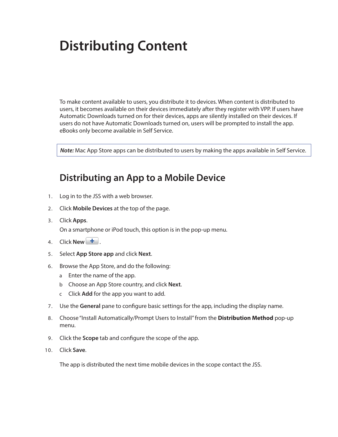# <span id="page-13-0"></span>**Distributing Content**

To make content available to users, you distribute it to devices. When content is distributed to users, it becomes available on their devices immediately after they register with VPP. If users have Automatic Downloads turned on for their devices, apps are silently installed on their devices. If users do not have Automatic Downloads turned on, users will be prompted to install the app. eBooks only become available in Self Service.

*Note:* Mac App Store apps can be distributed to users by making the apps available in Self Service.

### **Distributing an App to a Mobile Device**

- 1. Log in to the JSS with a web browser.
- 2. Click **Mobile Devices** at the top of the page.
- 3. Click **Apps**.

On a smartphone or iPod touch, this option is in the pop-up menu.

- 4. Click **New** .
- 5. Select **App Store app** and click **Next**.
- 6. Browse the App Store, and do the following:
	- a Enter the name of the app.
	- b Choose an App Store country, and click **Next**.
	- c Click **Add** for the app you want to add.
- 7. Use the **General** pane to configure basic settings for the app, including the display name.
- 8. Choose "Install Automatically/Prompt Users to Install" from the **Distribution Method** pop-up menu.
- 9. Click the **Scope** tab and configure the scope of the app.
- 10. Click **Save**.

The app is distributed the next time mobile devices in the scope contact the JSS.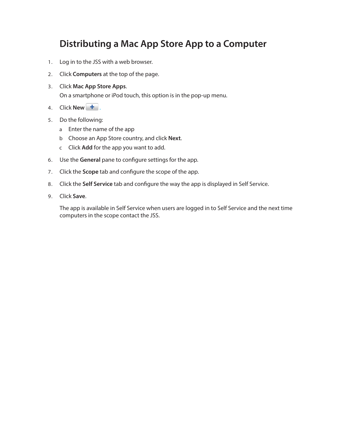### <span id="page-14-0"></span>**Distributing a Mac App Store App to a Computer**

- 1. Log in to the JSS with a web browser.
- 2. Click **Computers** at the top of the page.
- 3. Click **Mac App Store Apps**.

On a smartphone or iPod touch, this option is in the pop-up menu.

- 4. Click **New**  $\begin{bmatrix} + \end{bmatrix}$ .
- 5. Do the following:
	- a Enter the name of the app
	- b Choose an App Store country, and click **Next**.
	- c Click **Add** for the app you want to add.
- 6. Use the **General** pane to configure settings for the app.
- 7. Click the **Scope** tab and configure the scope of the app.
- 8. Click the **Self Service** tab and configure the way the app is displayed in Self Service.
- 9. Click **Save**.

The app is available in Self Service when users are logged in to Self Service and the next time computers in the scope contact the JSS.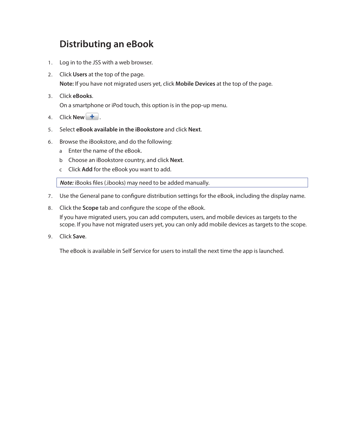### <span id="page-15-0"></span>**Distributing an eBook**

- 1. Log in to the JSS with a web browser.
- 2. Click **Users** at the top of the page. **Note:** If you have not migrated users yet, click **Mobile Devices** at the top of the page.
- 3. Click **eBooks**.

On a smartphone or iPod touch, this option is in the pop-up menu.

- 4. Click **New +**.
- 5. Select **eBook available in the iBookstore** and click **Next**.
- 6. Browse the iBookstore, and do the following:
	- a Enter the name of the eBook.
	- b Choose an iBookstore country, and click **Next**.
	- c Click **Add** for the eBook you want to add.

*Note:* iBooks files (.ibooks) may need to be added manually.

- 7. Use the General pane to configure distribution settings for the eBook, including the display name.
- 8. Click the **Scope** tab and configure the scope of the eBook.

If you have migrated users, you can add computers, users, and mobile devices as targets to the scope. If you have not migrated users yet, you can only add mobile devices as targets to the scope.

9. Click **Save**.

The eBook is available in Self Service for users to install the next time the app is launched.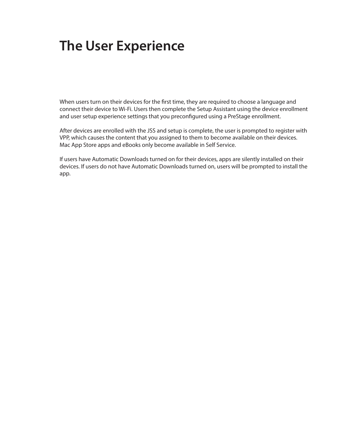# <span id="page-16-0"></span>**The User Experience**

When users turn on their devices for the first time, they are required to choose a language and connect their device to Wi-Fi. Users then complete the Setup Assistant using the device enrollment and user setup experience settings that you preconfigured using a PreStage enrollment.

After devices are enrolled with the JSS and setup is complete, the user is prompted to register with VPP, which causes the content that you assigned to them to become available on their devices. Mac App Store apps and eBooks only become available in Self Service.

If users have Automatic Downloads turned on for their devices, apps are silently installed on their devices. If users do not have Automatic Downloads turned on, users will be prompted to install the app.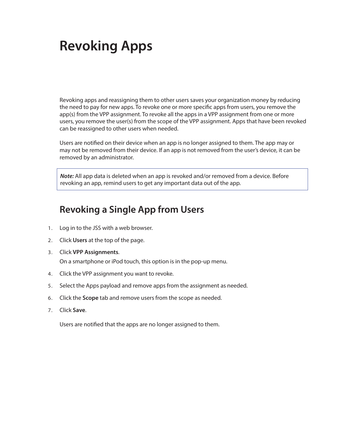# <span id="page-17-0"></span>**Revoking Apps**

Revoking apps and reassigning them to other users saves your organization money by reducing the need to pay for new apps. To revoke one or more specific apps from users, you remove the app(s) from the VPP assignment. To revoke all the apps in a VPP assignment from one or more users, you remove the user(s) from the scope of the VPP assignment. Apps that have been revoked can be reassigned to other users when needed.

Users are notified on their device when an app is no longer assigned to them. The app may or may not be removed from their device. If an app is not removed from the user's device, it can be removed by an administrator.

*Note:* All app data is deleted when an app is revoked and/or removed from a device. Before revoking an app, remind users to get any important data out of the app.

### **Revoking a Single App from Users**

- 1. Log in to the JSS with a web browser.
- 2. Click **Users** at the top of the page.
- 3. Click **VPP Assignments**. On a smartphone or iPod touch, this option is in the pop-up menu.
- 4. Click the VPP assignment you want to revoke.
- 5. Select the Apps payload and remove apps from the assignment as needed.
- 6. Click the **Scope** tab and remove users from the scope as needed.
- 7. Click **Save**.

Users are notified that the apps are no longer assigned to them.